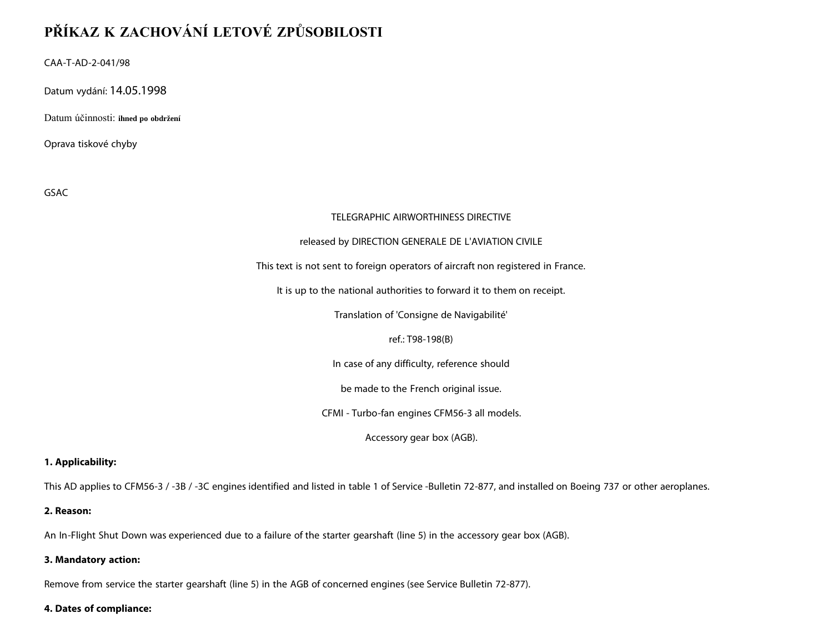# **PŘÍKAZ K ZACHOVÁNÍ LETOVÉ ZPŮSOBILOSTI**

CAA-T-AD-2-041/98

Datum vydání: 14.05.1998

Datum účinnosti: **ihned po obdržení**

Oprava tiskové chyby

GSAC

#### TELEGRAPHIC AIRWORTHINESS DIRECTIVE

#### released by DIRECTION GENERALE DE L'AVIATION CIVILE

This text is not sent to foreign operators of aircraft non registered in France.

It is up to the national authorities to forward it to them on receipt.

Translation of 'Consigne de Navigabilité'

ref.: T98-198(B)

In case of any difficulty, reference should

be made to the French original issue.

CFMI - Turbo-fan engines CFM56-3 all models.

Accessory gear box (AGB).

#### **1. Applicability:**

This AD applies to CFM56-3 / -3B / -3C engines identified and listed in table 1 of Service -Bulletin 72-877, and installed on Boeing 737 or other aeroplanes.

#### **2. Reason:**

An In-Flight Shut Down was experienced due to a failure of the starter gearshaft (line 5) in the accessory gear box (AGB).

## **3. Mandatory action:**

Remove from service the starter gearshaft (line 5) in the AGB of concerned engines (see Service Bulletin 72-877).

### **4. Dates of compliance:**